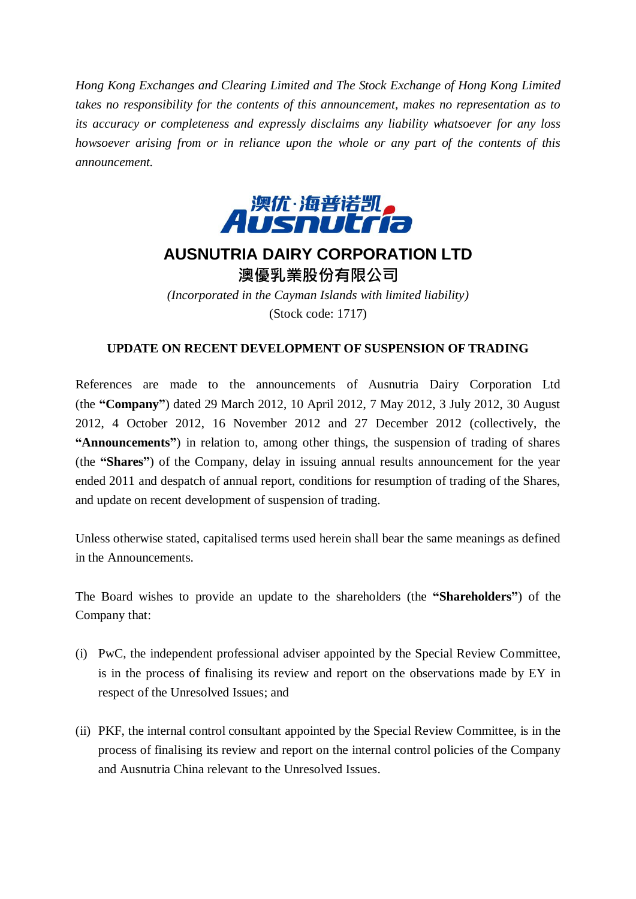*Hong Kong Exchanges and Clearing Limited and The Stock Exchange of Hong Kong Limited takes no responsibility for the contents of this announcement, makes no representation as to its accuracy or completeness and expressly disclaims any liability whatsoever for any loss howsoever arising from or in reliance upon the whole or any part of the contents of this announcement.*



## **AUSNUTRIA DAIRY CORPORATION LTD** 澳優乳業股份有限公司

*(Incorporated in the Cayman Islands with limited liability)* (Stock code: 1717)

## **UPDATE ON RECENT DEVELOPMENT OF SUSPENSION OF TRADING**

References are made to the announcements of Ausnutria Dairy Corporation Ltd (the **"Company"**) dated 29 March 2012, 10 April 2012, 7 May 2012, 3 July 2012, 30 August 2012, 4 October 2012, 16 November 2012 and 27 December 2012 (collectively, the **"Announcements"**) in relation to, among other things, the suspension of trading of shares (the **"Shares"**) of the Company, delay in issuing annual results announcement for the year ended 2011 and despatch of annual report, conditions for resumption of trading of the Shares, and update on recent development of suspension of trading.

Unless otherwise stated, capitalised terms used herein shall bear the same meanings as defined in the Announcements.

The Board wishes to provide an update to the shareholders (the **"Shareholders"**) of the Company that:

- (i) PwC, the independent professional adviser appointed by the Special Review Committee, is in the process of finalising its review and report on the observations made by EY in respect of the Unresolved Issues; and
- (ii) PKF, the internal control consultant appointed by the Special Review Committee, is in the process of finalising its review and report on the internal control policies of the Company and Ausnutria China relevant to the Unresolved Issues.